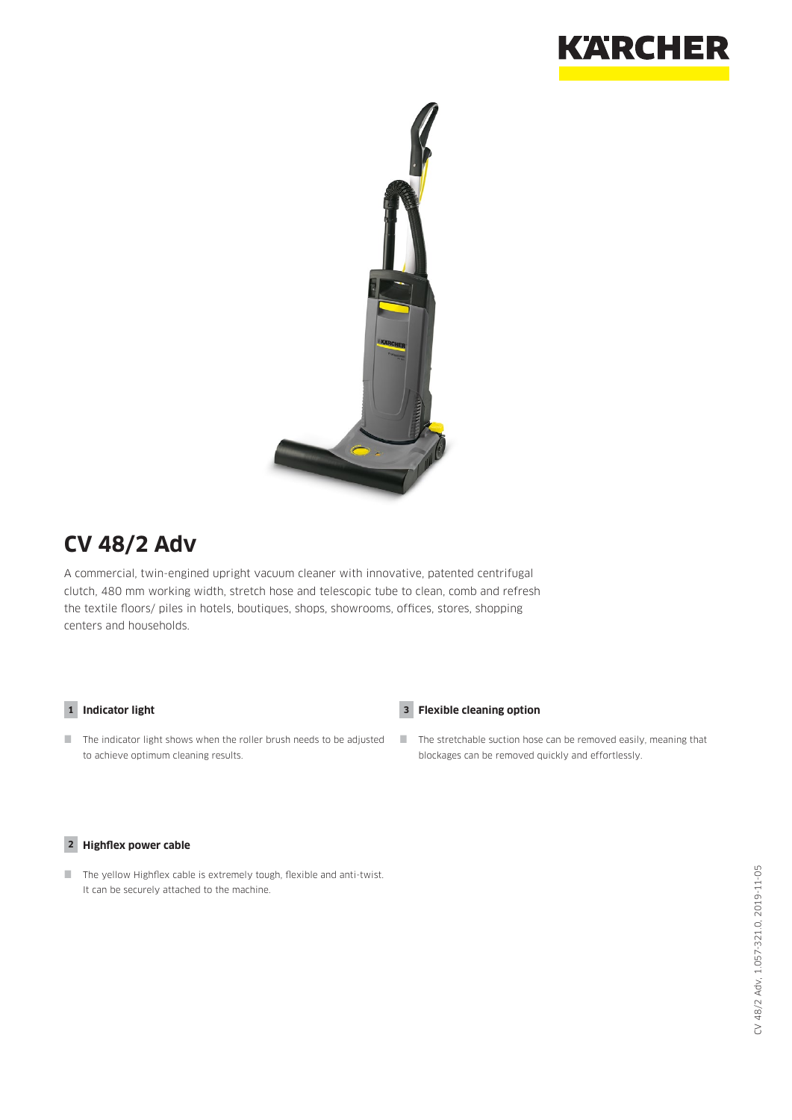



# **CV 48/2 Adv**

A commercial, twin-engined upright vacuum cleaner with innovative, patented centrifugal clutch, 480 mm working width, stretch hose and telescopic tube to clean, comb and refresh the textile floors/ piles in hotels, boutiques, shops, showrooms, offices, stores, shopping centers and households.

### **1 Indicator light 3**

 $\blacksquare$  The indicator light shows when the roller brush needs to be adjusted to achieve optimum cleaning results.

## **Flexible cleaning option**

The stretchable suction hose can be removed easily, meaning that blockages can be removed quickly and effortlessly.

### **2 Highflex power cable**

 $\Box$  The yellow Highflex cable is extremely tough, flexible and anti-twist. It can be securely attached to the machine.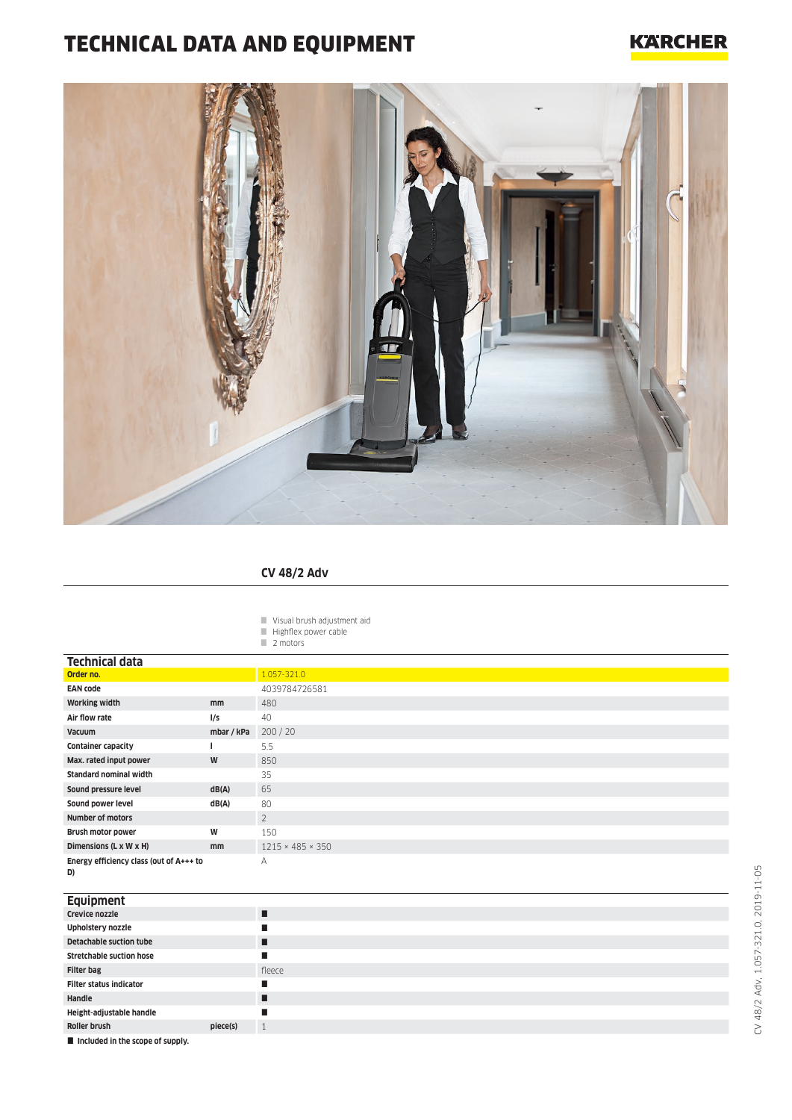# TECHNICAL DATA AND EQUIPMENT

## **KARCHER**



## **CV 48/2 Adv**

- Visual brush adjustment aid
- $\blacksquare$  Highflex power cable
- 2 motors

| <b>Technical data</b>                         |               |                              |
|-----------------------------------------------|---------------|------------------------------|
| Order no.                                     |               | 1.057-321.0                  |
| <b>EAN code</b>                               |               | 4039784726581                |
| <b>Working width</b>                          | mm            | 480                          |
| Air flow rate                                 | l/s           | 40                           |
| Vacuum                                        | mbar / kPa    | 200 / 20                     |
| <b>Container capacity</b>                     |               | 5.5                          |
| Max. rated input power                        | W             | 850                          |
| <b>Standard nominal width</b>                 |               | 35                           |
| Sound pressure level                          | dB(A)         | 65                           |
| Sound power level                             | dB(A)         | 80                           |
| <b>Number of motors</b>                       |               | $\overline{2}$               |
| Brush motor power                             | W             | 150                          |
| Dimensions (L x W x H)                        | <sub>mm</sub> | $1215 \times 485 \times 350$ |
| Energy efficiency class (out of A+++ to<br>D) |               | A                            |

#### **Equipment**

| <b>Ederburgue</b>               |          |              |
|---------------------------------|----------|--------------|
| Crevice nozzle                  |          |              |
| Upholstery nozzle               |          |              |
| <b>Detachable suction tube</b>  |          |              |
| <b>Stretchable suction hose</b> |          |              |
| <b>Filter bag</b>               |          | fleece       |
| <b>Filter status indicator</b>  |          |              |
| Handle                          |          |              |
| Height-adjustable handle        |          |              |
| Roller brush                    | piece(s) | $\mathbf{1}$ |
|                                 |          |              |

 $\blacksquare$  Included in the scope of supply.